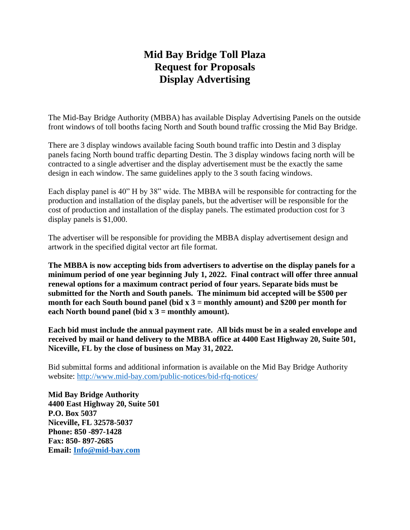## **Mid Bay Bridge Toll Plaza Request for Proposals Display Advertising**

The Mid-Bay Bridge Authority (MBBA) has available Display Advertising Panels on the outside front windows of toll booths facing North and South bound traffic crossing the Mid Bay Bridge.

There are 3 display windows available facing South bound traffic into Destin and 3 display panels facing North bound traffic departing Destin. The 3 display windows facing north will be contracted to a single advertiser and the display advertisement must be the exactly the same design in each window. The same guidelines apply to the 3 south facing windows.

Each display panel is 40" H by 38" wide. The MBBA will be responsible for contracting for the production and installation of the display panels, but the advertiser will be responsible for the cost of production and installation of the display panels. The estimated production cost for 3 display panels is \$1,000.

The advertiser will be responsible for providing the MBBA display advertisement design and artwork in the specified digital vector art file format.

 **minimum period of one year beginning July 1, 2022. Final contract will offer three annual submitted for the North and South panels. The minimum bid accepted will be \$500 per The MBBA is now accepting bids from advertisers to advertise on the display panels for a renewal options for a maximum contract period of four years. Separate bids must be month for each South bound panel (bid x 3 = monthly amount) and \$200 per month for each North bound panel (bid x 3 = monthly amount).** 

**Each bid must include the annual payment rate. All bids must be in a sealed envelope and received by mail or hand delivery to the MBBA office at 4400 East Highway 20, Suite 501, Niceville, FL by the close of business on May 31, 2022.** 

Bid submittal forms and additional information is available on the Mid Bay Bridge Authority website:<http://www.mid-bay.com/public-notices/bid-rfq-notices/>

**Mid Bay Bridge Authority 4400 East Highway 20, Suite 501 P.O. Box 5037 Niceville, FL 32578-5037 Phone: 850 -897-1428 Fax: 850- 897-2685 Email: [Info@mid-bay.com](mailto:Info@mid-bay.com)**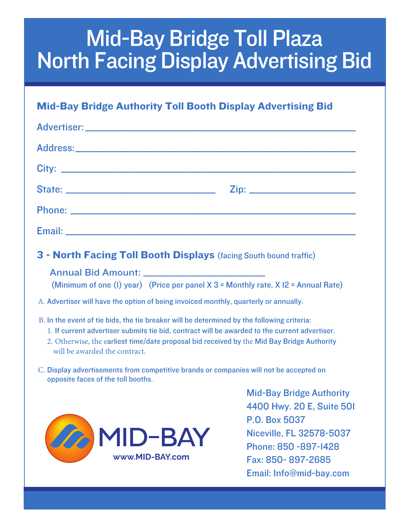# Mid-Bay Bridge Toll Plaza North Facing Display Advertising Bid

## Mid-Bay Bridge Authority Toll Booth Display Advertising Bid

### 3 - North Facing Toll Booth Displays (facing South bound traffic)

| Annual Bid Amount: _________________________                                           |
|----------------------------------------------------------------------------------------|
| (Minimum of one (I) year) (Price per panel $X$ 3 = Monthly rate, $X$ I2 = Annual Rate) |

A. Advertiser will have the option of being invoiced monthly, quarterly or annually.

#### B. In the event of tie bids, the tie breaker will be determined by the following criteria:

- 1. If current advertiser submits tie bid, contract will be awarded to the current advertiser.
- 2. Otherwise, the earliest time/date proposal bid received by the Mid Bay Bridge Authority will be awarded the contract.
- C. Display advertisements from competitive brands or companies will not be accepted on opposite faces of the toll booths.



Mid-Bay\_Bridge\_Authority 4400 Hwy. 20 E, Suite 501 P.O.\_Box\_5037 Niceville,\_FL\_32578-5037 Phone:\_850\_-897-1428 Fax:\_850-\_897-2685 Email: Info@mid-bay.com